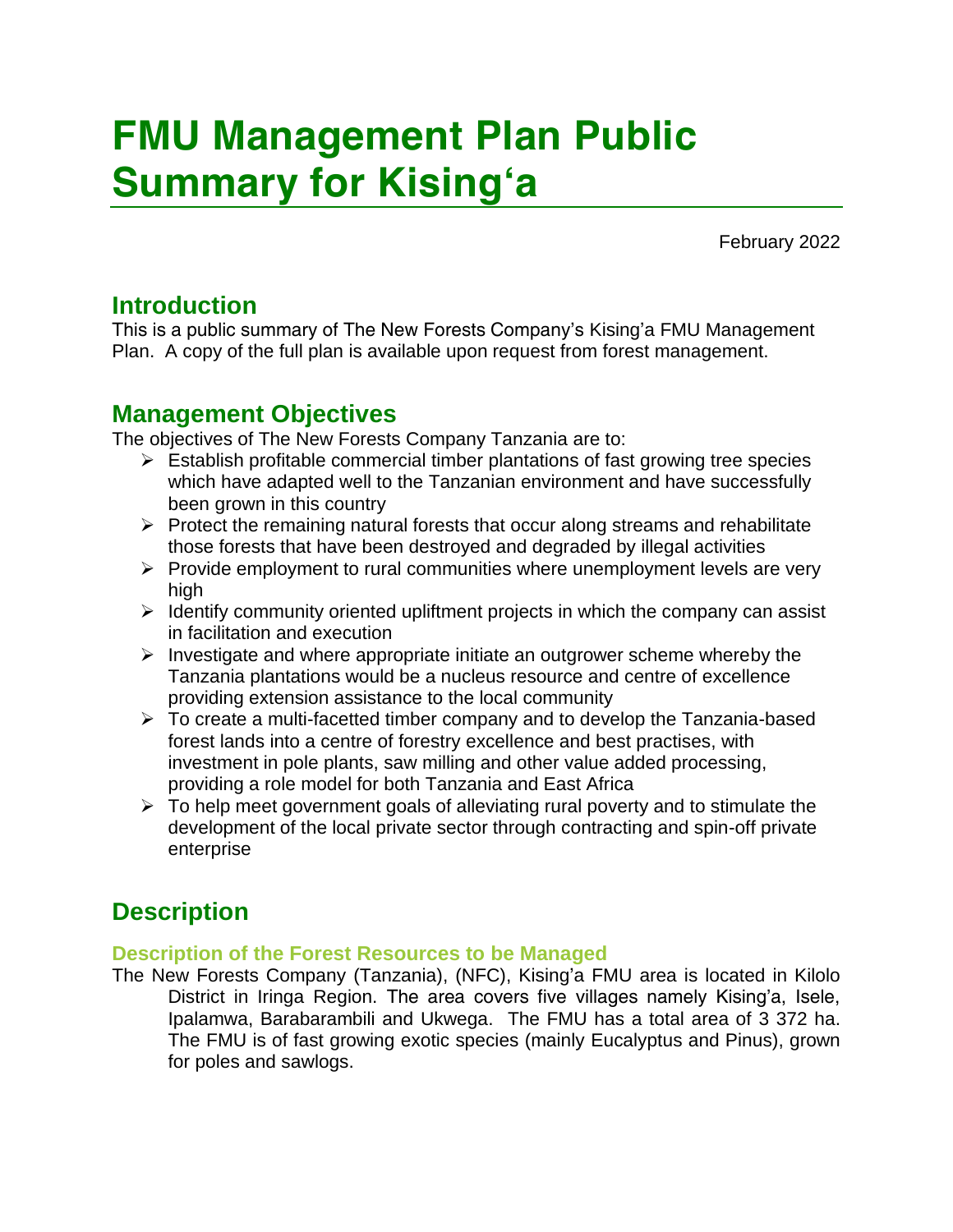# FMU Management Plan Public Summary for Kising'a

February 2022

## Introduction

This is a public summary of The New Forests Company's Kising'a FMU Management Plan. A copy of the full plan is available upon request from forest management.

## Management Objectives

The objectives of The New Forests Company Tanzania are to:

- $\triangleright$  Establish profitable commercial timber plantations of fast growing tree species which have adapted well to the Tanzanian environment and have successfully been grown in this country
- $\triangleright$  Protect the remaining natural forests that occur along streams and rehabilitate those forests that have been destroyed and degraded by illegal activities
- $\triangleright$  Provide employment to rural communities where unemployment levels are very high
- $\triangleright$  Identify community oriented upliftment projects in which the company can assist in facilitation and execution
- $\triangleright$  Investigate and where appropriate initiate an outgrower scheme whereby the Tanzania plantations would be a nucleus resource and centre of excellence providing extension assistance to the local community
- ➢ To create a multi-facetted timber company and to develop the Tanzania-based forest lands into a centre of forestry excellence and best practises, with investment in pole plants, saw milling and other value added processing, providing a role model for both Tanzania and East Africa
- ➢ To help meet government goals of alleviating rural poverty and to stimulate the development of the local private sector through contracting and spin-off private enterprise

## **Description**

## Description of the Forest Resources to be Managed

The New Forests Company (Tanzania), (NFC), Kising'a FMU area is located in Kilolo District in Iringa Region. The area covers five villages namely Kising'a, Isele, Ipalamwa, Barabarambili and Ukwega. The FMU has a total area of 3 372 ha. The FMU is of fast growing exotic species (mainly *Eucalyptus* and *Pinus*), grown for poles and sawlogs.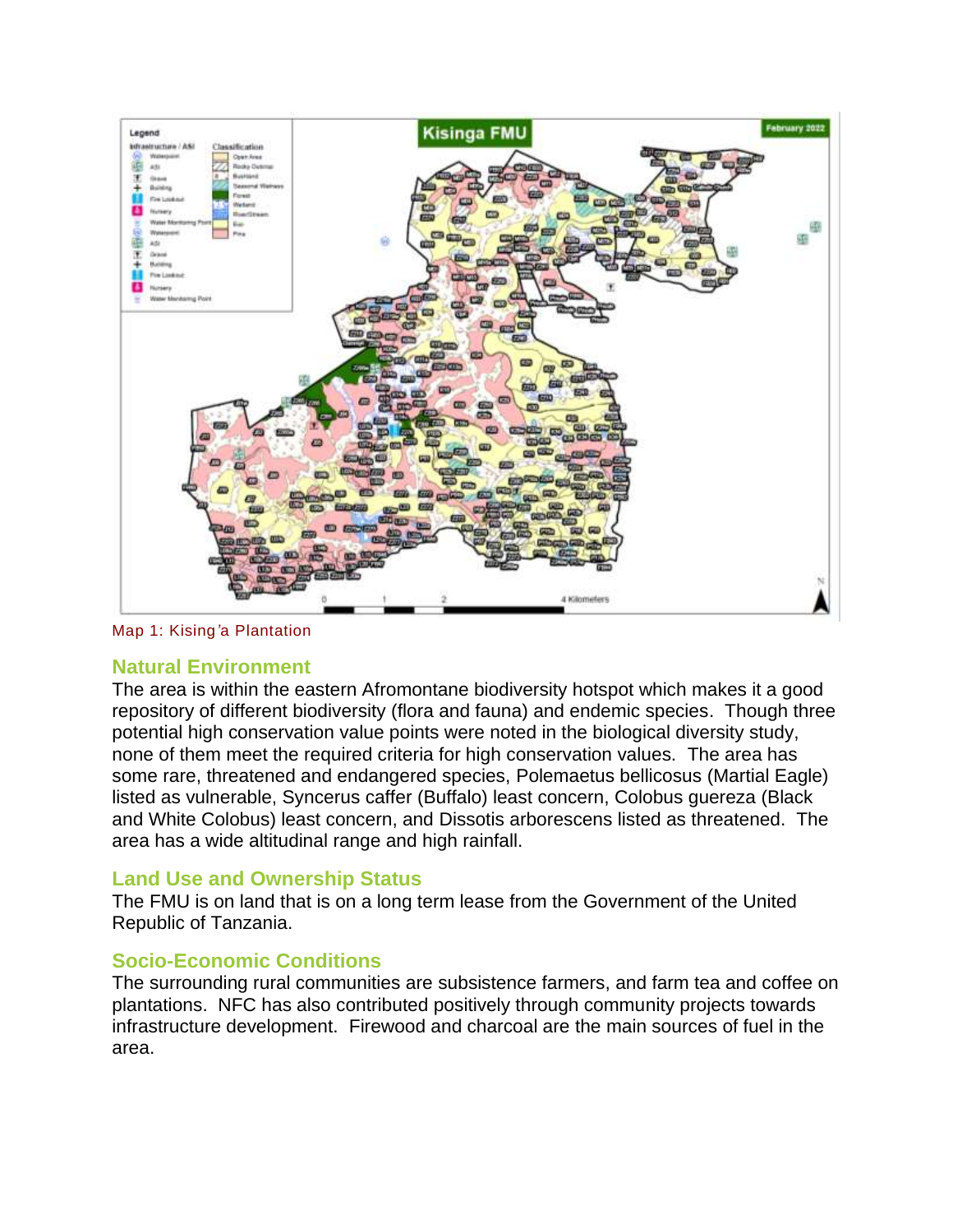

*Map 1: Kising'a Plantation*

#### Natural Environment

The area is within the eastern Afromontane biodiversity hotspot which makes it a good repository of different biodiversity (flora and fauna) and endemic species. Though three potential high conservation value points were noted in the biological diversity study, none of them meet the required criteria for high conservation values. The area has some rare, threatened and endangered species, *Polemaetus bellicosus* (Martial Eagle) listed as vulnerable, *Syncerus caffer* (Buffalo) least concern, *Colobus guereza* (Black and White Colobus) least concern, and *Dissotis arborescens* listed as threatened. The area has a wide altitudinal range and high rainfall.

#### Land Use and Ownership Status

The FMU is on land that is on a long term lease from the Government of the United Republic of Tanzania.

## Socio-Economic Conditions

The surrounding rural communities are subsistence farmers, and farm tea and coffee on plantations. NFC has also contributed positively through community projects towards infrastructure development. Firewood and charcoal are the main sources of fuel in the area.